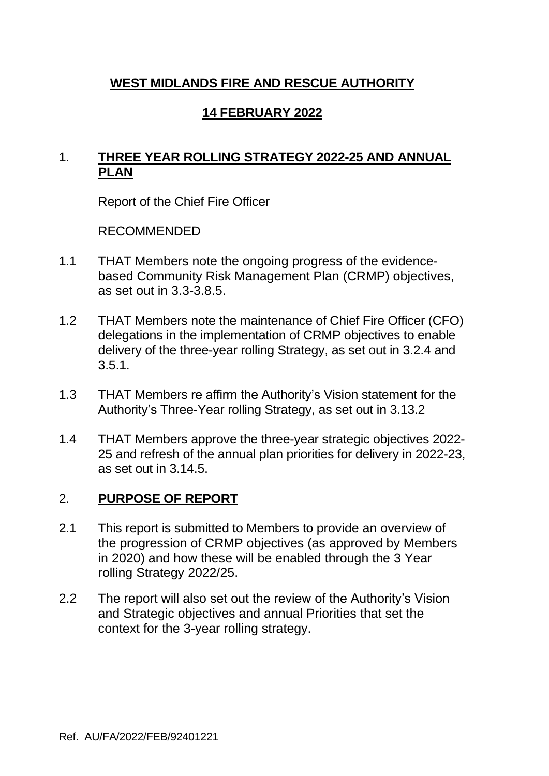# **WEST MIDLANDS FIRE AND RESCUE AUTHORITY**

# **14 FEBRUARY 2022**

### 1. **THREE YEAR ROLLING STRATEGY 2022-25 AND ANNUAL PLAN**

Report of the Chief Fire Officer

RECOMMENDED

- 1.1 THAT Members note the ongoing progress of the evidencebased Community Risk Management Plan (CRMP) objectives, as set out in 3.3-3.8.5.
- 1.2 THAT Members note the maintenance of Chief Fire Officer (CFO) delegations in the implementation of CRMP objectives to enable delivery of the three-year rolling Strategy, as set out in 3.2.4 and 3.5.1.
- 1.3 THAT Members re affirm the Authority's Vision statement for the Authority's Three-Year rolling Strategy, as set out in 3.13.2
- 1.4 THAT Members approve the three-year strategic objectives 2022- 25 and refresh of the annual plan priorities for delivery in 2022-23, as set out in 3.14.5.

#### 2. **PURPOSE OF REPORT**

- 2.1 This report is submitted to Members to provide an overview of the progression of CRMP objectives (as approved by Members in 2020) and how these will be enabled through the 3 Year rolling Strategy 2022/25.
- 2.2 The report will also set out the review of the Authority's Vision and Strategic objectives and annual Priorities that set the context for the 3-year rolling strategy.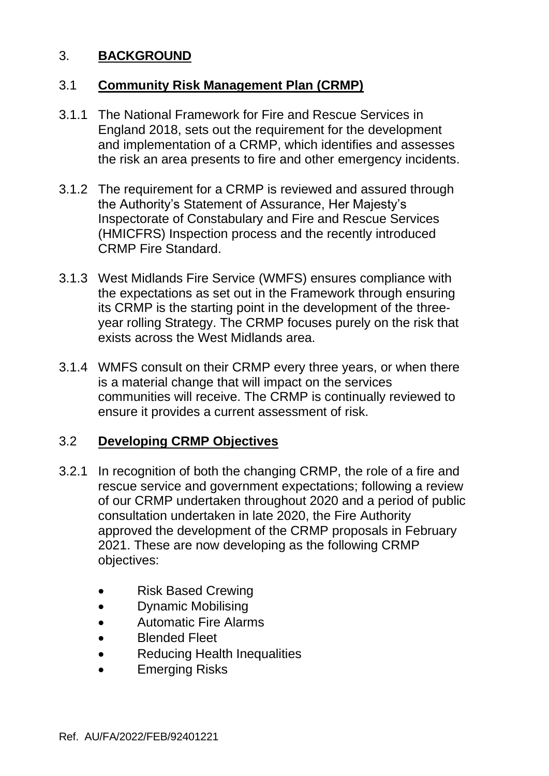### 3. **BACKGROUND**

### 3.1 **Community Risk Management Plan (CRMP)**

- 3.1.1 The National Framework for Fire and Rescue Services in England 2018, sets out the requirement for the development and implementation of a CRMP, which identifies and assesses the risk an area presents to fire and other emergency incidents.
- 3.1.2 The requirement for a CRMP is reviewed and assured through the Authority's Statement of Assurance, Her Majesty's Inspectorate of Constabulary and Fire and Rescue Services (HMICFRS) Inspection process and the recently introduced CRMP Fire Standard.
- 3.1.3 West Midlands Fire Service (WMFS) ensures compliance with the expectations as set out in the Framework through ensuring its CRMP is the starting point in the development of the threeyear rolling Strategy. The CRMP focuses purely on the risk that exists across the West Midlands area.
- 3.1.4 WMFS consult on their CRMP every three years, or when there is a material change that will impact on the services communities will receive. The CRMP is continually reviewed to ensure it provides a current assessment of risk.

#### 3.2 **Developing CRMP Objectives**

- 3.2.1 In recognition of both the changing CRMP, the role of a fire and rescue service and government expectations; following a review of our CRMP undertaken throughout 2020 and a period of public consultation undertaken in late 2020, the Fire Authority approved the development of the CRMP proposals in February 2021. These are now developing as the following CRMP objectives:
	- Risk Based Crewing
	- Dynamic Mobilising
	- Automatic Fire Alarms
	- Blended Fleet
	- **Reducing Health Inequalities**
	- **Emerging Risks**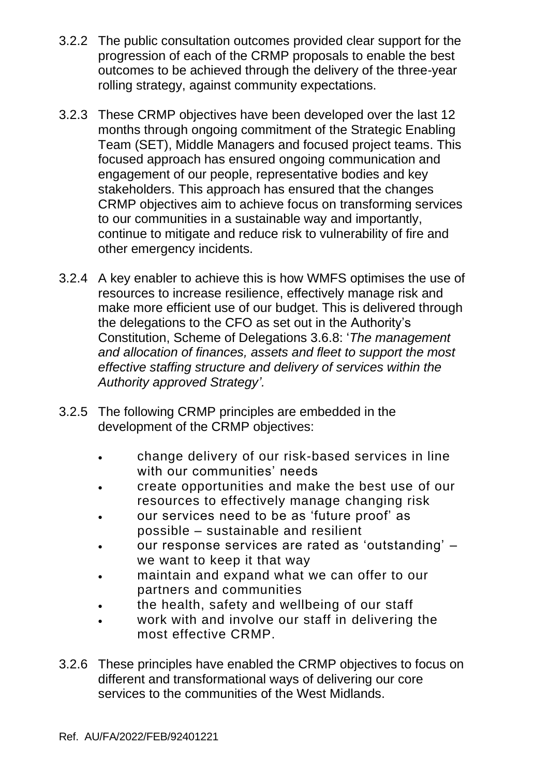- 3.2.2 The public consultation outcomes provided clear support for the progression of each of the CRMP proposals to enable the best outcomes to be achieved through the delivery of the three-year rolling strategy, against community expectations.
- 3.2.3 These CRMP objectives have been developed over the last 12 months through ongoing commitment of the Strategic Enabling Team (SET), Middle Managers and focused project teams. This focused approach has ensured ongoing communication and engagement of our people, representative bodies and key stakeholders. This approach has ensured that the changes CRMP objectives aim to achieve focus on transforming services to our communities in a sustainable way and importantly, continue to mitigate and reduce risk to vulnerability of fire and other emergency incidents.
- 3.2.4 A key enabler to achieve this is how WMFS optimises the use of resources to increase resilience, effectively manage risk and make more efficient use of our budget. This is delivered through the delegations to the CFO as set out in the Authority's Constitution, Scheme of Delegations 3.6.8: '*The management and allocation of finances, assets and fleet to support the most effective staffing structure and delivery of services within the Authority approved Strategy'.*
- 3.2.5 The following CRMP principles are embedded in the development of the CRMP objectives:
	- change delivery of our risk-based services in line with our communities' needs
	- create opportunities and make the best use of our resources to effectively manage changing risk
	- our services need to be as 'future proof' as possible – sustainable and resilient
	- our response services are rated as 'outstanding' we want to keep it that way
	- maintain and expand what we can offer to our partners and communities
	- the health, safety and wellbeing of our staff
	- work with and involve our staff in delivering the most effective CRMP.
- 3.2.6 These principles have enabled the CRMP objectives to focus on different and transformational ways of delivering our core services to the communities of the West Midlands.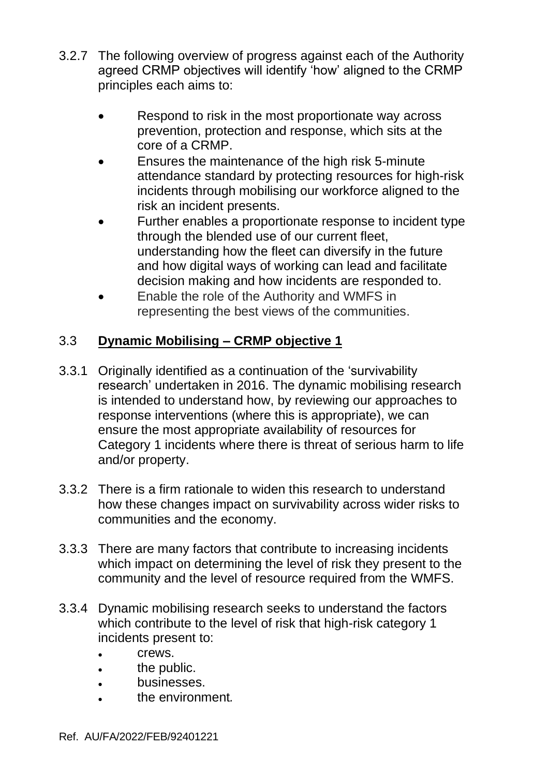- 3.2.7 The following overview of progress against each of the Authority agreed CRMP objectives will identify 'how' aligned to the CRMP principles each aims to:
	- Respond to risk in the most proportionate way across prevention, protection and response, which sits at the core of a CRMP.
	- Ensures the maintenance of the high risk 5-minute attendance standard by protecting resources for high-risk incidents through mobilising our workforce aligned to the risk an incident presents.
	- Further enables a proportionate response to incident type through the blended use of our current fleet, understanding how the fleet can diversify in the future and how digital ways of working can lead and facilitate decision making and how incidents are responded to.
	- Enable the role of the Authority and WMFS in representing the best views of the communities.

# 3.3 **Dynamic Mobilising – CRMP objective 1**

- 3.3.1 Originally identified as a continuation of the 'survivability research' undertaken in 2016. The dynamic mobilising research is intended to understand how, by reviewing our approaches to response interventions (where this is appropriate), we can ensure the most appropriate availability of resources for Category 1 incidents where there is threat of serious harm to life and/or property.
- 3.3.2 There is a firm rationale to widen this research to understand how these changes impact on survivability across wider risks to communities and the economy.
- 3.3.3 There are many factors that contribute to increasing incidents which impact on determining the level of risk they present to the community and the level of resource required from the WMFS.
- 3.3.4 Dynamic mobilising research seeks to understand the factors which contribute to the level of risk that high-risk category 1 incidents present to:
	- crews.
	- the public.
	- businesses.
	- the environment*.*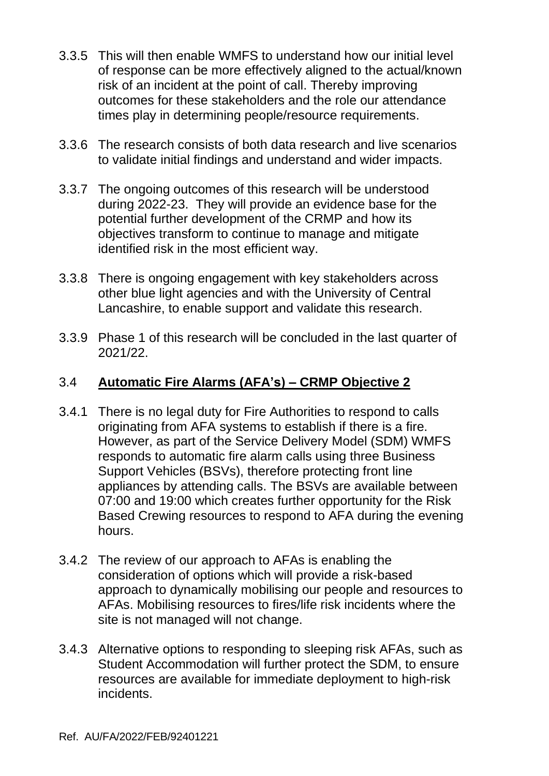- 3.3.5 This will then enable WMFS to understand how our initial level of response can be more effectively aligned to the actual/known risk of an incident at the point of call. Thereby improving outcomes for these stakeholders and the role our attendance times play in determining people/resource requirements.
- 3.3.6 The research consists of both data research and live scenarios to validate initial findings and understand and wider impacts.
- 3.3.7 The ongoing outcomes of this research will be understood during 2022-23. They will provide an evidence base for the potential further development of the CRMP and how its objectives transform to continue to manage and mitigate identified risk in the most efficient way.
- 3.3.8 There is ongoing engagement with key stakeholders across other blue light agencies and with the University of Central Lancashire, to enable support and validate this research.
- 3.3.9 Phase 1 of this research will be concluded in the last quarter of 2021/22.

# 3.4 **Automatic Fire Alarms (AFA's) – CRMP Objective 2**

- 3.4.1 There is no legal duty for Fire Authorities to respond to calls originating from AFA systems to establish if there is a fire. However, as part of the Service Delivery Model (SDM) WMFS responds to automatic fire alarm calls using three Business Support Vehicles (BSVs), therefore protecting front line appliances by attending calls. The BSVs are available between 07:00 and 19:00 which creates further opportunity for the Risk Based Crewing resources to respond to AFA during the evening hours.
- 3.4.2 The review of our approach to AFAs is enabling the consideration of options which will provide a risk-based approach to dynamically mobilising our people and resources to AFAs. Mobilising resources to fires/life risk incidents where the site is not managed will not change.
- 3.4.3 Alternative options to responding to sleeping risk AFAs, such as Student Accommodation will further protect the SDM, to ensure resources are available for immediate deployment to high-risk incidents.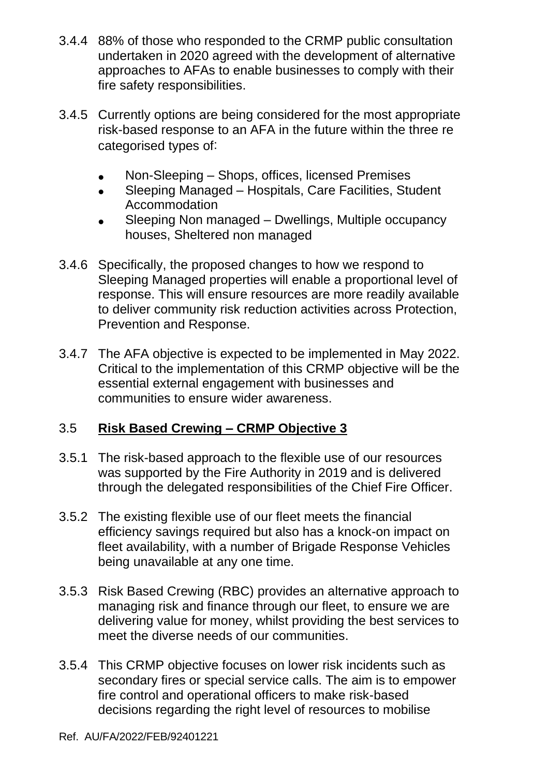- 3.4.4 88% of those who responded to the CRMP public consultation undertaken in 2020 agreed with the development of alternative approaches to AFAs to enable businesses to comply with their fire safety responsibilities.
- 3.4.5 Currently options are being considered for the most appropriate risk-based response to an AFA in the future within the three re categorised types of:
	- Non-Sleeping Shops, offices, licensed Premises
	- Sleeping Managed Hospitals, Care Facilities, Student Accommodation
	- Sleeping Non managed Dwellings, Multiple occupancy houses, Sheltered non managed
- 3.4.6 Specifically, the proposed changes to how we respond to Sleeping Managed properties will enable a proportional level of response. This will ensure resources are more readily available to deliver community risk reduction activities across Protection, Prevention and Response.
- 3.4.7 The AFA objective is expected to be implemented in May 2022. Critical to the implementation of this CRMP objective will be the essential external engagement with businesses and communities to ensure wider awareness.

# 3.5 **Risk Based Crewing – CRMP Objective 3**

- 3.5.1 The risk-based approach to the flexible use of our resources was supported by the Fire Authority in 2019 and is delivered through the delegated responsibilities of the Chief Fire Officer.
- 3.5.2 The existing flexible use of our fleet meets the financial efficiency savings required but also has a knock-on impact on fleet availability, with a number of Brigade Response Vehicles being unavailable at any one time.
- 3.5.3 Risk Based Crewing (RBC) provides an alternative approach to managing risk and finance through our fleet, to ensure we are delivering value for money, whilst providing the best services to meet the diverse needs of our communities.
- 3.5.4 This CRMP objective focuses on lower risk incidents such as secondary fires or special service calls. The aim is to empower fire control and operational officers to make risk-based decisions regarding the right level of resources to mobilise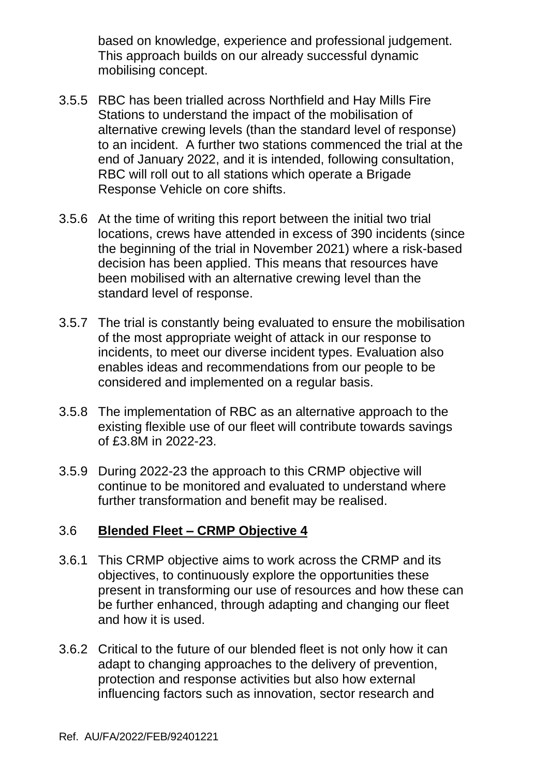based on knowledge, experience and professional judgement. This approach builds on our already successful dynamic mobilising concept.

- 3.5.5 RBC has been trialled across Northfield and Hay Mills Fire Stations to understand the impact of the mobilisation of alternative crewing levels (than the standard level of response) to an incident. A further two stations commenced the trial at the end of January 2022, and it is intended, following consultation, RBC will roll out to all stations which operate a Brigade Response Vehicle on core shifts.
- 3.5.6 At the time of writing this report between the initial two trial locations, crews have attended in excess of 390 incidents (since the beginning of the trial in November 2021) where a risk-based decision has been applied. This means that resources have been mobilised with an alternative crewing level than the standard level of response.
- 3.5.7 The trial is constantly being evaluated to ensure the mobilisation of the most appropriate weight of attack in our response to incidents, to meet our diverse incident types. Evaluation also enables ideas and recommendations from our people to be considered and implemented on a regular basis.
- 3.5.8 The implementation of RBC as an alternative approach to the existing flexible use of our fleet will contribute towards savings of £3.8M in 2022-23.
- 3.5.9 During 2022-23 the approach to this CRMP objective will continue to be monitored and evaluated to understand where further transformation and benefit may be realised.

# 3.6 **Blended Fleet – CRMP Objective 4**

- 3.6.1 This CRMP objective aims to work across the CRMP and its objectives, to continuously explore the opportunities these present in transforming our use of resources and how these can be further enhanced, through adapting and changing our fleet and how it is used.
- 3.6.2 Critical to the future of our blended fleet is not only how it can adapt to changing approaches to the delivery of prevention, protection and response activities but also how external influencing factors such as innovation, sector research and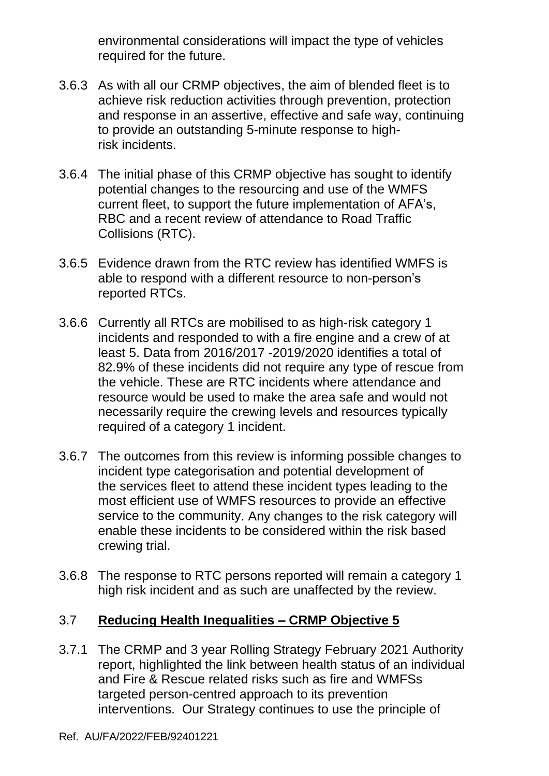environmental considerations will impact the type of vehicles required for the future.

- 3.6.3 As with all our CRMP objectives, the aim of blended fleet is to achieve risk reduction activities through prevention, protection and response in an assertive, effective and safe way, continuing to provide an outstanding 5-minute response to highrisk incidents.
- 3.6.4 The initial phase of this CRMP objective has sought to identify potential changes to the resourcing and use of the WMFS current fleet, to support the future implementation of AFA's, RBC and a recent review of attendance to Road Traffic Collisions (RTC).
- 3.6.5 Evidence drawn from the RTC review has identified WMFS is able to respond with a different resource to non-person's reported RTCs.
- 3.6.6 Currently all RTCs are mobilised to as high-risk category 1 incidents and responded to with a fire engine and a crew of at least 5. Data from 2016/2017 -2019/2020 identifies a total of 82.9% of these incidents did not require any type of rescue from the vehicle. These are RTC incidents where attendance and resource would be used to make the area safe and would not necessarily require the crewing levels and resources typically required of a category 1 incident.
- 3.6.7 The outcomes from this review is informing possible changes to incident type categorisation and potential development of the services fleet to attend these incident types leading to the most efficient use of WMFS resources to provide an effective service to the community. Any changes to the risk category will enable these incidents to be considered within the risk based crewing trial.
- 3.6.8 The response to RTC persons reported will remain a category 1 high risk incident and as such are unaffected by the review.

#### 3.7 **Reducing Health Inequalities – CRMP Objective 5**

3.7.1 The CRMP and 3 year Rolling Strategy February 2021 Authority report, highlighted the link between health status of an individual and Fire & Rescue related risks such as fire and WMFSs targeted person-centred approach to its prevention interventions. Our Strategy continues to use the principle of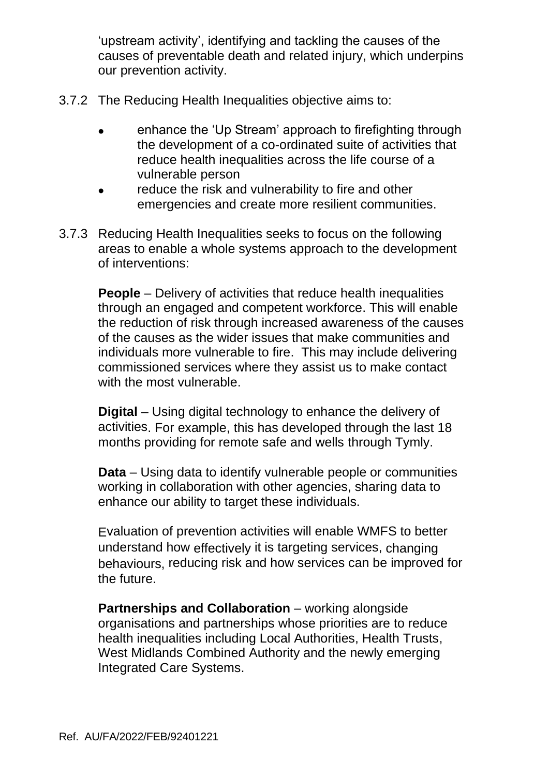'upstream activity', identifying and tackling the causes of the causes of preventable death and related injury, which underpins our prevention activity.

- 3.7.2 The Reducing Health Inequalities objective aims to:
	- enhance the 'Up Stream' approach to firefighting through the development of a co-ordinated suite of activities that reduce health inequalities across the life course of a vulnerable person
	- reduce the risk and vulnerability to fire and other emergencies and create more resilient communities.
- 3.7.3 Reducing Health Inequalities seeks to focus on the following areas to enable a whole systems approach to the development of interventions:

**People** – Delivery of activities that reduce health inequalities through an engaged and competent workforce. This will enable the reduction of risk through increased awareness of the causes of the causes as the wider issues that make communities and individuals more vulnerable to fire. This may include delivering commissioned services where they assist us to make contact with the most vulnerable.

**Digital** – Using digital technology to enhance the delivery of activities. For example, this has developed through the last 18 months providing for remote safe and wells through Tymly.

**Data** – Using data to identify vulnerable people or communities working in collaboration with other agencies, sharing data to enhance our ability to target these individuals.

Evaluation of prevention activities will enable WMFS to better understand how effectively it is targeting services, changing behaviours, reducing risk and how services can be improved for the future.

**Partnerships and Collaboration** – working alongside organisations and partnerships whose priorities are to reduce health inequalities including Local Authorities, Health Trusts, West Midlands Combined Authority and the newly emerging Integrated Care Systems.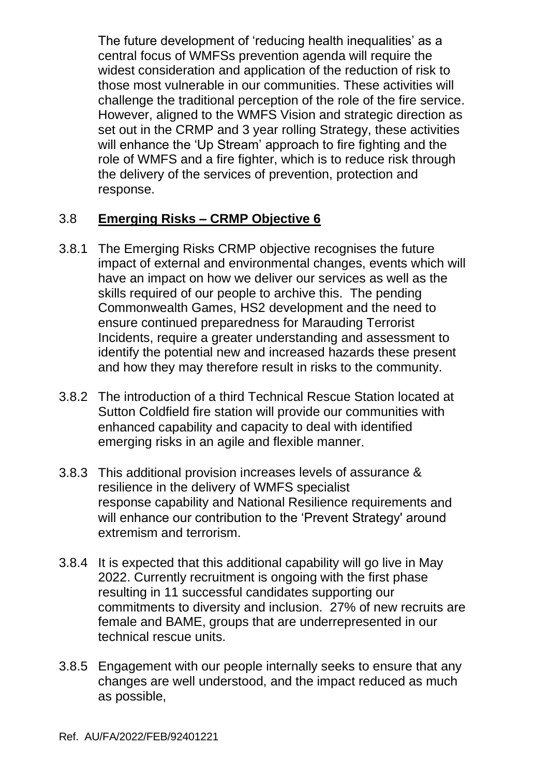The future development of 'reducing health inequalities' as a central focus of WMFSs prevention agenda will require the widest consideration and application of the reduction of risk to those most vulnerable in our communities. These activities will challenge the traditional perception of the role of the fire service. However, aligned to the WMFS Vision and strategic direction as set out in the CRMP and 3 year rolling Strategy, these activities will enhance the 'Up Stream' approach to fire fighting and the role of WMFS and a fire fighter, which is to reduce risk through the delivery of the services of prevention, protection and response.

# 3.8 **Emerging Risks – CRMP Objective 6**

- 3.8.1 The Emerging Risks CRMP objective recognises the future impact of external and environmental changes, events which will have an impact on how we deliver our services as well as the skills required of our people to archive this. The pending Commonwealth Games, HS2 development and the need to ensure continued preparedness for Marauding Terrorist Incidents, require a greater understanding and assessment to identify the potential new and increased hazards these present and how they may therefore result in risks to the community.
- 3.8.2 The introduction of a third Technical Rescue Station located at Sutton Coldfield fire station will provide our communities with enhanced capability and capacity to deal with identified emerging risks in an agile and flexible manner.
- 3.8.3 This additional provision increases levels of assurance & resilience in the delivery of WMFS specialist response capability and National Resilience requirements and will enhance our contribution to the 'Prevent Strategy' around extremism and terrorism.
- 3.8.4 It is expected that this additional capability will go live in May 2022. Currently recruitment is ongoing with the first phase resulting in 11 successful candidates supporting our commitments to diversity and inclusion. 27% of new recruits are female and BAME, groups that are underrepresented in our technical rescue units.
- 3.8.5 Engagement with our people internally seeks to ensure that any changes are well understood, and the impact reduced as much as possible,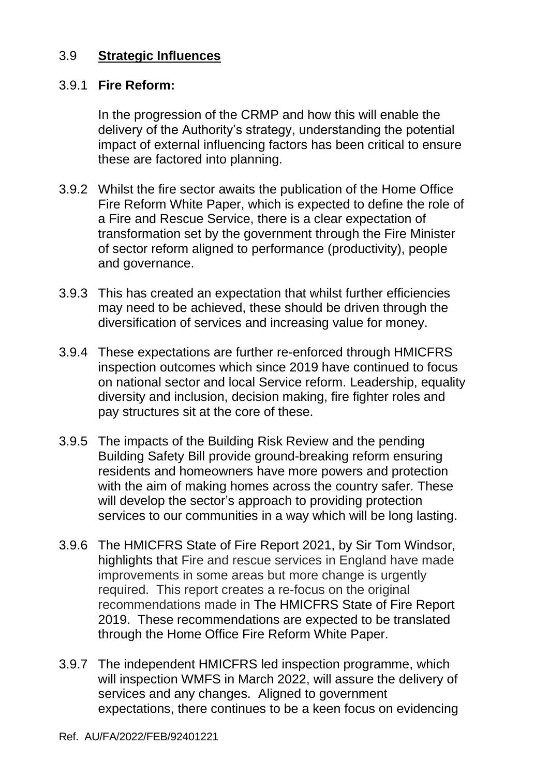### 3.9 **Strategic Influences**

#### 3.9.1 **Fire Reform:**

In the progression of the CRMP and how this will enable the delivery of the Authority's strategy, understanding the potential impact of external influencing factors has been critical to ensure these are factored into planning.

- 3.9.2 Whilst the fire sector awaits the publication of the Home Office Fire Reform White Paper, which is expected to define the role of a Fire and Rescue Service, there is a clear expectation of transformation set by the government through the Fire Minister of sector reform aligned to performance (productivity), people and governance.
- 3.9.3 This has created an expectation that whilst further efficiencies may need to be achieved, these should be driven through the diversification of services and increasing value for money.
- 3.9.4 These expectations are further re-enforced through HMICFRS inspection outcomes which since 2019 have continued to focus on national sector and local Service reform. Leadership, equality diversity and inclusion, decision making, fire fighter roles and pay structures sit at the core of these.
- 3.9.5 The impacts of the Building Risk Review and the pending Building Safety Bill provide ground-breaking reform ensuring residents and homeowners have more powers and protection with the aim of making homes across the country safer. These will develop the sector's approach to providing protection services to our communities in a way which will be long lasting.
- 3.9.6 The HMICFRS State of Fire Report 2021, by Sir Tom Windsor, highlights that Fire and rescue services in England have made improvements in some areas but more change is urgently required. This report creates a re-focus on the original recommendations made in The HMICFRS State of Fire Report 2019. These recommendations are expected to be translated through the Home Office Fire Reform White Paper.
- 3.9.7 The independent HMICFRS led inspection programme, which will inspection WMFS in March 2022, will assure the delivery of services and any changes. Aligned to government expectations, there continues to be a keen focus on evidencing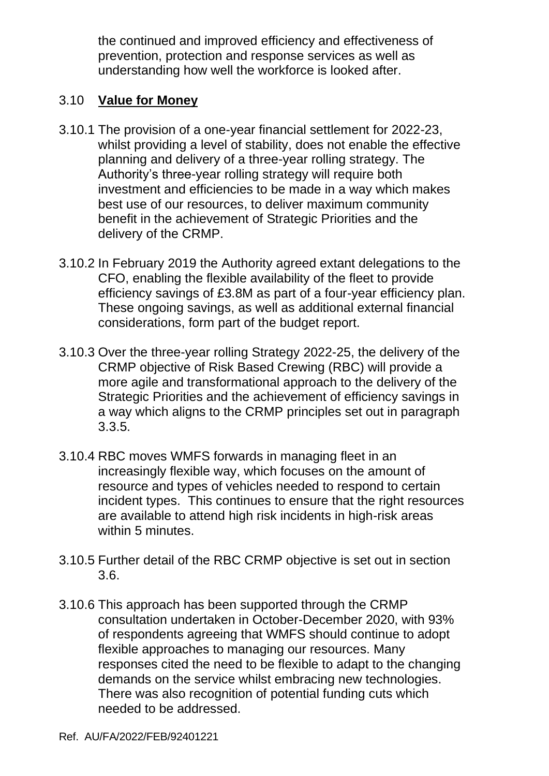the continued and improved efficiency and effectiveness of prevention, protection and response services as well as understanding how well the workforce is looked after.

# 3.10 **Value for Money**

- 3.10.1 The provision of a one-year financial settlement for 2022-23, whilst providing a level of stability, does not enable the effective planning and delivery of a three-year rolling strategy. The Authority's three-year rolling strategy will require both investment and efficiencies to be made in a way which makes best use of our resources, to deliver maximum community benefit in the achievement of Strategic Priorities and the delivery of the CRMP.
- 3.10.2 In February 2019 the Authority agreed extant delegations to the CFO, enabling the flexible availability of the fleet to provide efficiency savings of £3.8M as part of a four-year efficiency plan. These ongoing savings, as well as additional external financial considerations, form part of the budget report.
- 3.10.3 Over the three-year rolling Strategy 2022-25, the delivery of the CRMP objective of Risk Based Crewing (RBC) will provide a more agile and transformational approach to the delivery of the Strategic Priorities and the achievement of efficiency savings in a way which aligns to the CRMP principles set out in paragraph 3.3.5.
- 3.10.4 RBC moves WMFS forwards in managing fleet in an increasingly flexible way, which focuses on the amount of resource and types of vehicles needed to respond to certain incident types. This continues to ensure that the right resources are available to attend high risk incidents in high-risk areas within 5 minutes.
- 3.10.5 Further detail of the RBC CRMP objective is set out in section 3.6.
- 3.10.6 This approach has been supported through the CRMP consultation undertaken in October-December 2020, with 93% of respondents agreeing that WMFS should continue to adopt flexible approaches to managing our resources. Many responses cited the need to be flexible to adapt to the changing demands on the service whilst embracing new technologies. There was also recognition of potential funding cuts which needed to be addressed.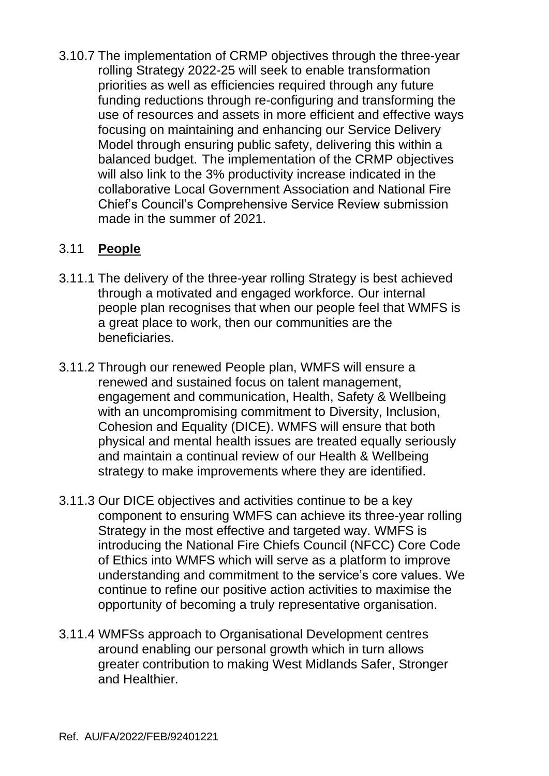3.10.7 The implementation of CRMP objectives through the three-year rolling Strategy 2022-25 will seek to enable transformation priorities as well as efficiencies required through any future funding reductions through re-configuring and transforming the use of resources and assets in more efficient and effective ways focusing on maintaining and enhancing our Service Delivery Model through ensuring public safety, delivering this within a balanced budget. The implementation of the CRMP objectives will also link to the 3% productivity increase indicated in the collaborative Local Government Association and National Fire Chief's Council's Comprehensive Service Review submission made in the summer of 2021.

# 3.11 **People**

- 3.11.1 The delivery of the three-year rolling Strategy is best achieved through a motivated and engaged workforce. Our internal people plan recognises that when our people feel that WMFS is a great place to work, then our communities are the beneficiaries.
- 3.11.2 Through our renewed People plan, WMFS will ensure a renewed and sustained focus on talent management, engagement and communication, Health, Safety & Wellbeing with an uncompromising commitment to Diversity, Inclusion, Cohesion and Equality (DICE). WMFS will ensure that both physical and mental health issues are treated equally seriously and maintain a continual review of our Health & Wellbeing strategy to make improvements where they are identified.
- 3.11.3 Our DICE objectives and activities continue to be a key component to ensuring WMFS can achieve its three-year rolling Strategy in the most effective and targeted way. WMFS is introducing the National Fire Chiefs Council (NFCC) Core Code of Ethics into WMFS which will serve as a platform to improve understanding and commitment to the service's core values. We continue to refine our positive action activities to maximise the opportunity of becoming a truly representative organisation.
- 3.11.4 WMFSs approach to Organisational Development centres around enabling our personal growth which in turn allows greater contribution to making West Midlands Safer, Stronger and Healthier.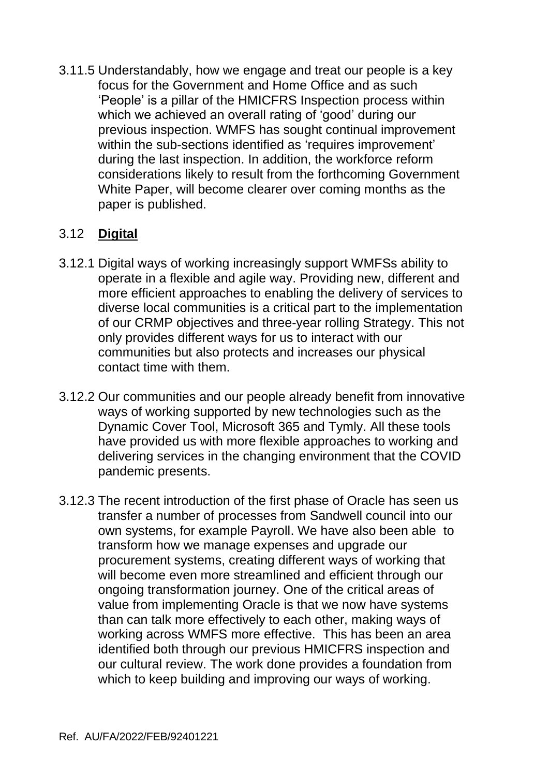3.11.5 Understandably, how we engage and treat our people is a key focus for the Government and Home Office and as such 'People' is a pillar of the HMICFRS Inspection process within which we achieved an overall rating of 'good' during our previous inspection. WMFS has sought continual improvement within the sub-sections identified as 'requires improvement' during the last inspection. In addition, the workforce reform considerations likely to result from the forthcoming Government White Paper, will become clearer over coming months as the paper is published.

# 3.12 **Digital**

- 3.12.1 Digital ways of working increasingly support WMFSs ability to operate in a flexible and agile way. Providing new, different and more efficient approaches to enabling the delivery of services to diverse local communities is a critical part to the implementation of our CRMP objectives and three-year rolling Strategy. This not only provides different ways for us to interact with our communities but also protects and increases our physical contact time with them.
- 3.12.2 Our communities and our people already benefit from innovative ways of working supported by new technologies such as the Dynamic Cover Tool, Microsoft 365 and Tymly. All these tools have provided us with more flexible approaches to working and delivering services in the changing environment that the COVID pandemic presents.
- 3.12.3 The recent introduction of the first phase of Oracle has seen us transfer a number of processes from Sandwell council into our own systems, for example Payroll. We have also been able to transform how we manage expenses and upgrade our procurement systems, creating different ways of working that will become even more streamlined and efficient through our ongoing transformation journey. One of the critical areas of value from implementing Oracle is that we now have systems than can talk more effectively to each other, making ways of working across WMFS more effective. This has been an area identified both through our previous HMICFRS inspection and our cultural review. The work done provides a foundation from which to keep building and improving our ways of working.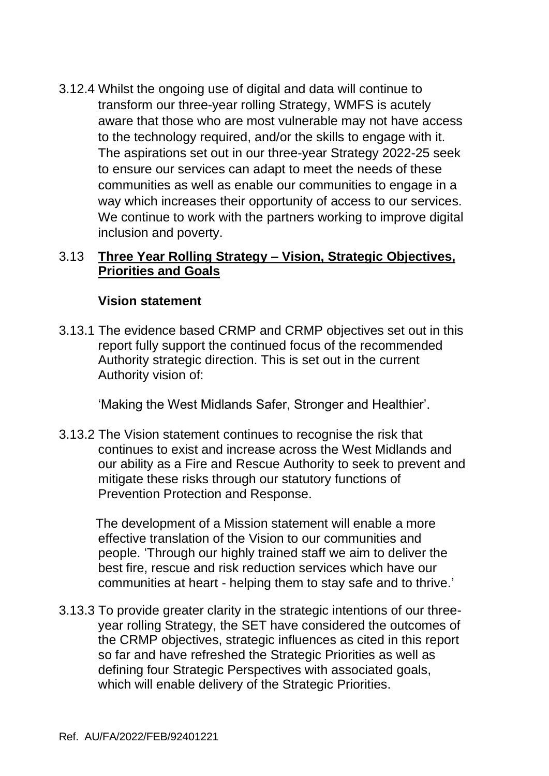3.12.4 Whilst the ongoing use of digital and data will continue to transform our three-year rolling Strategy, WMFS is acutely aware that those who are most vulnerable may not have access to the technology required, and/or the skills to engage with it. The aspirations set out in our three-year Strategy 2022-25 seek to ensure our services can adapt to meet the needs of these communities as well as enable our communities to engage in a way which increases their opportunity of access to our services. We continue to work with the partners working to improve digital inclusion and poverty.

#### 3.13 **Three Year Rolling Strategy – Vision, Strategic Objectives, Priorities and Goals**

#### **Vision statement**

3.13.1 The evidence based CRMP and CRMP objectives set out in this report fully support the continued focus of the recommended Authority strategic direction. This is set out in the current Authority vision of:

'Making the West Midlands Safer, Stronger and Healthier'.

3.13.2 The Vision statement continues to recognise the risk that continues to exist and increase across the West Midlands and our ability as a Fire and Rescue Authority to seek to prevent and mitigate these risks through our statutory functions of Prevention Protection and Response.

The development of a Mission statement will enable a more effective translation of the Vision to our communities and people. 'Through our highly trained staff we aim to deliver the best fire, rescue and risk reduction services which have our communities at heart - helping them to stay safe and to thrive.'

3.13.3 To provide greater clarity in the strategic intentions of our threeyear rolling Strategy, the SET have considered the outcomes of the CRMP objectives, strategic influences as cited in this report so far and have refreshed the Strategic Priorities as well as defining four Strategic Perspectives with associated goals, which will enable delivery of the Strategic Priorities.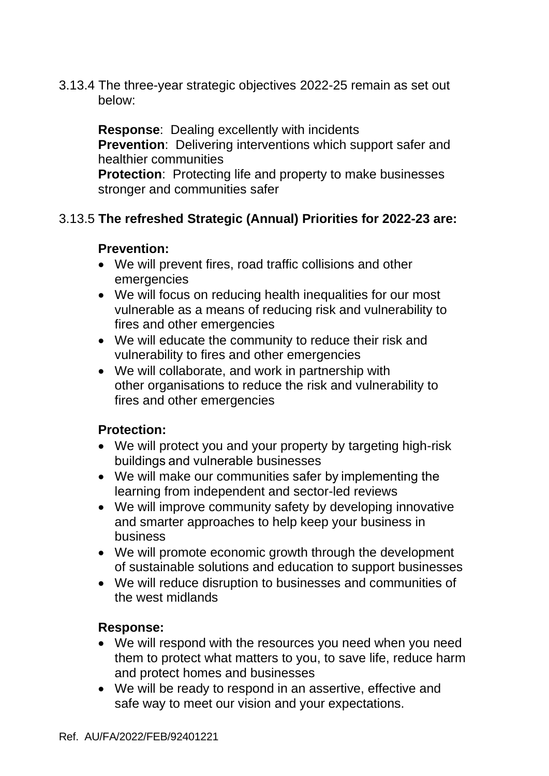3.13.4 The three-year strategic objectives 2022-25 remain as set out below:

**Response**: Dealing excellently with incidents **Prevention**: Delivering interventions which support safer and healthier communities

**Protection:** Protecting life and property to make businesses stronger and communities safer

### 3.13.5 **The refreshed Strategic (Annual) Priorities for 2022-23 are:**

#### **Prevention:**

- We will prevent fires, road traffic collisions and other emergencies
- We will focus on reducing health inequalities for our most vulnerable as a means of reducing risk and vulnerability to fires and other emergencies
- We will educate the community to reduce their risk and vulnerability to fires and other emergencies
- We will collaborate, and work in partnership with other organisations to reduce the risk and vulnerability to fires and other emergencies

#### **Protection:**

- We will protect you and your property by targeting high-risk buildings and vulnerable businesses
- We will make our communities safer by implementing the learning from independent and sector-led reviews
- We will improve community safety by developing innovative and smarter approaches to help keep your business in business
- We will promote economic growth through the development of sustainable solutions and education to support businesses
- We will reduce disruption to businesses and communities of the west midlands

#### **Response:**

- We will respond with the resources you need when you need them to protect what matters to you, to save life, reduce harm and protect homes and businesses
- We will be ready to respond in an assertive, effective and safe way to meet our vision and your expectations.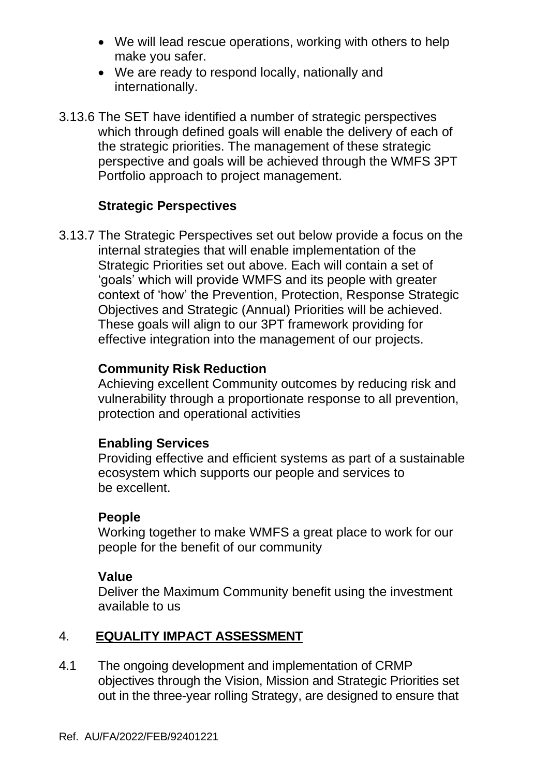- We will lead rescue operations, working with others to help make you safer.
- We are ready to respond locally, nationally and internationally.
- 3.13.6 The SET have identified a number of strategic perspectives which through defined goals will enable the delivery of each of the strategic priorities. The management of these strategic perspective and goals will be achieved through the WMFS 3PT Portfolio approach to project management.

### **Strategic Perspectives**

3.13.7 The Strategic Perspectives set out below provide a focus on the internal strategies that will enable implementation of the Strategic Priorities set out above. Each will contain a set of 'goals' which will provide WMFS and its people with greater context of 'how' the Prevention, Protection, Response Strategic Objectives and Strategic (Annual) Priorities will be achieved. These goals will align to our 3PT framework providing for effective integration into the management of our projects.

#### **Community Risk Reduction**

Achieving excellent Community outcomes by reducing risk and vulnerability through a proportionate response to all prevention, protection and operational activities

#### **Enabling Services**

Providing effective and efficient systems as part of a sustainable ecosystem which supports our people and services to be excellent.

#### **People**

Working together to make WMFS a great place to work for our people for the benefit of our community

#### **Value**

Deliver the Maximum Community benefit using the investment available to us

# 4. **EQUALITY IMPACT ASSESSMENT**

4.1 The ongoing development and implementation of CRMP objectives through the Vision, Mission and Strategic Priorities set out in the three-year rolling Strategy, are designed to ensure that